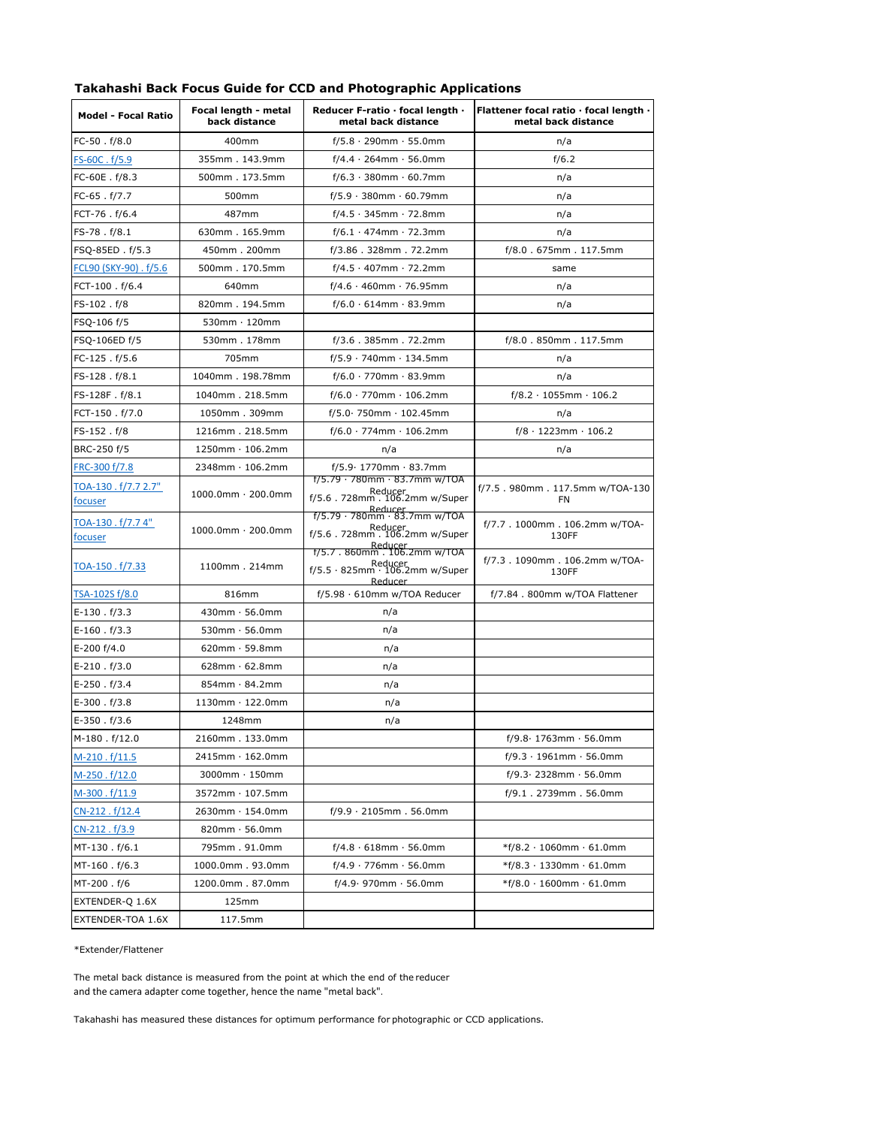| <b>Model - Focal Ratio</b>    | Focal length - metal<br>back distance | Reducer F-ratio · focal length ·<br>metal back distance                                           | Flattener focal ratio · focal length ·<br>metal back distance |  |  |
|-------------------------------|---------------------------------------|---------------------------------------------------------------------------------------------------|---------------------------------------------------------------|--|--|
| FC-50.f/8.0                   | 400mm                                 | $f/5.8 \cdot 290$ mm $\cdot 55.0$ mm                                                              | n/a                                                           |  |  |
| FS-60C.f/5.9                  | 355mm. 143.9mm                        | $f/4.4 \cdot 264$ mm $\cdot 56.0$ mm                                                              | f/6.2                                                         |  |  |
| $FC-60E$ . $f/8.3$            | 500mm. 173.5mm                        | $f/6.3 \cdot 380$ mm $\cdot 60.7$ mm                                                              | n/a                                                           |  |  |
| FC-65.f/7.7                   | 500mm                                 | $f/5.9 \cdot 380$ mm $\cdot 60.79$ mm                                                             | n/a                                                           |  |  |
| FCT-76.f/6.4                  | 487mm                                 | $f/4.5 \cdot 345$ mm · 72.8mm                                                                     | n/a                                                           |  |  |
| FS-78.f/8.1                   | 630mm. 165.9mm                        | $f/6.1 \cdot 474$ mm · 72.3mm                                                                     | n/a                                                           |  |  |
| FSQ-85ED. f/5.3               | 450mm. 200mm                          | $f/3.86$ . 328mm. 72.2mm                                                                          | f/8.0.675mm.117.5mm                                           |  |  |
| FCL90 (SKY-90) . f/5.6        | 500mm. 170.5mm                        | $f/4.5 \cdot 407$ mm · 72.2mm                                                                     | same                                                          |  |  |
| FCT-100.f/6.4                 | 640mm                                 | $f/4.6 \cdot 460$ mm · 76.95mm                                                                    | n/a                                                           |  |  |
| FS-102.f/8                    | 820mm. 194.5mm                        | $f/6.0 \cdot 614$ mm $\cdot 83.9$ mm                                                              | n/a                                                           |  |  |
| FSQ-106 f/5                   | $530$ mm $\cdot$ 120mm                |                                                                                                   |                                                               |  |  |
| FSQ-106ED f/5                 | 530mm. 178mm                          | f/3.6.385mm.72.2mm                                                                                | f/8.0.850mm.117.5mm                                           |  |  |
| FC-125.f/5.6                  | 705mm                                 | $f/5.9 \cdot 740$ mm $\cdot 134.5$ mm                                                             | n/a                                                           |  |  |
| FS-128.f/8.1                  | 1040mm. 198.78mm                      | $f/6.0 \cdot 770$ mm $\cdot 83.9$ mm                                                              | n/a                                                           |  |  |
| FS-128F.f/8.1                 | 1040mm. 218.5mm                       | $f/6.0 \cdot 770$ mm $\cdot 106.2$ mm                                                             | $f/8.2 \cdot 1055$ mm $\cdot 106.2$                           |  |  |
| FCT-150.f/7.0                 | 1050mm. 309mm                         | $f/5.0.750$ mm $.102.45$ mm                                                                       | n/a                                                           |  |  |
| FS-152.f/8                    | 1216mm. 218.5mm                       | $f/6.0 \cdot 774$ mm $\cdot 106.2$ mm                                                             | $f/8 \cdot 1223$ mm $\cdot 106.2$                             |  |  |
| BRC-250 f/5                   | $1250$ mm $\cdot$ 106.2mm             | n/a                                                                                               | n/a                                                           |  |  |
| FRC-300 f/7.8                 | 2348mm · 106.2mm                      | f/5.9 · 1770mm · 83.7mm                                                                           |                                                               |  |  |
| TOA-130.f/7.72.7"             |                                       | $f/5.79 \cdot 780$ mm $\cdot 83.7$ mm w/TOA                                                       | f/7.5.980mm. 117.5mm w/TOA-130<br>FN                          |  |  |
| focuser                       | $1000.0$ mm · 200.0mm                 | Reducer<br>f/5.6.728mm.106.2mm w/Super                                                            |                                                               |  |  |
| TOA-130 . f/7.7 4"<br>focuser | $1000.0$ mm · 200.0mm                 | f/5.79 · 780mm · 83.7mm w/TOA<br>Reducer<br>f/5.6.728mm.106.2mm w/Super                           | f/7.7.1000mm. 106.2mm w/TOA-<br>130FF                         |  |  |
| <u>TOA-150 . f/7.33</u>       | 1100mm. 214mm                         | Reducer<br>f/5.7 . 860mm . 106.2mm w/TOA<br>Reducer<br>f/5.5 · 825mm · 106.2mm w/Super<br>Reducer | f/7.3.1090mm.106.2mm w/TOA-<br>130FF                          |  |  |
| <u>TSA-102S f/8.0</u>         | 816mm                                 | $f/5.98 \cdot 610$ mm w/TOA Reducer                                                               | f/7.84.800mm w/TOA Flattener                                  |  |  |
| $E-130$ . $f/3.3$             | $430$ mm $\cdot$ 56.0mm               | n/a                                                                                               |                                                               |  |  |
| $E-160$ . $f/3.3$             | $530$ mm $\cdot$ 56.0mm               | n/a                                                                                               |                                                               |  |  |
| E-200 f/4.0                   | $620mm \cdot 59.8mm$                  | n/a                                                                                               |                                                               |  |  |
| $E-210$ . $f/3.0$             | $628$ mm $\cdot$ 62.8mm               | n/a                                                                                               |                                                               |  |  |
| $E-250$ . $f/3.4$             | 854mm · 84.2mm                        | n/a                                                                                               |                                                               |  |  |
| $E-300$ . $f/3.8$             | $1130$ mm $\cdot$ 122.0mm             | n/a                                                                                               |                                                               |  |  |
| $E-350$ . $f/3.6$             | 1248mm                                | n/a                                                                                               |                                                               |  |  |
| M-180.f/12.0                  | 2160mm. 133.0mm                       |                                                                                                   | $f/9.8 \cdot 1763$ mm $\cdot 56.0$ mm                         |  |  |
| M-210.f/11.5                  | $2415$ mm $\cdot$ 162.0mm             |                                                                                                   | $f/9.3 \cdot 1961$ mm $\cdot 56.0$ mm                         |  |  |
| M-250.f/12.0                  | $3000$ mm $\cdot$ 150mm               |                                                                                                   | $f/9.3 \cdot 2328$ mm $\cdot 56.0$ mm                         |  |  |
| M-300.f/11.9                  | $3572$ mm $\cdot$ 107.5mm             |                                                                                                   | f/9.1.2739mm.56.0mm                                           |  |  |
| CN-212.f/12.4                 | 2630mm · 154.0mm                      | $f/9.9 \cdot 2105$ mm. 56.0mm                                                                     |                                                               |  |  |
| CN-212.f/3.9                  | $820$ mm $\cdot$ 56.0mm               |                                                                                                   |                                                               |  |  |
| MT-130.f/6.1                  | 795mm. 91.0mm                         | $f/4.8 \cdot 618$ mm $\cdot 56.0$ mm                                                              | $*$ f/8.2 · 1060mm · 61.0mm                                   |  |  |
| MT-160.f/6.3                  | 1000.0mm. 93.0mm                      | $f/4.9 \cdot 776$ mm $\cdot 56.0$ mm                                                              | *f/8.3 · 1330mm · 61.0mm                                      |  |  |
| MT-200.f/6                    | 1200.0mm. 87.0mm                      | $f/4.9.970$ mm $.56.0$ mm                                                                         | $*$ f/8.0 $\cdot$ 1600mm $\cdot$ 61.0mm                       |  |  |
| EXTENDER-Q 1.6X               | 125mm                                 |                                                                                                   |                                                               |  |  |
| EXTENDER-TOA 1.6X             | 117.5mm                               |                                                                                                   |                                                               |  |  |

## **Takahashi Back Focus Guide for CCD and Photographic Applications**

## \*Extender/Flattener

The metal back distance is measured from the point at which the end of the reducer and the camera adapter come together, hence the name "metal back".

Takahashi has measured these distances for optimum performance for photographic or CCD applications.